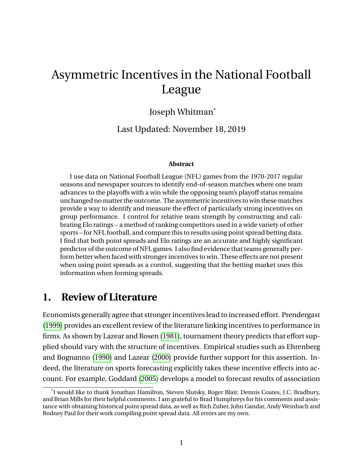# <span id="page-0-0"></span>Asymmetric Incentives in the National Football League

## Joseph Whitman\*

Last Updated: November 18, 2019

#### **Abstract**

I use data on National Football League (NFL) games from the 1970-2017 regular seasons and newspaper sources to identify end-of-season matches where one team advances to the playoffs with a win while the opposing team's playoff status remains unchanged no matter the outcome. The asymmetric incentives to win these matches provide a way to identify and measure the effect of particularly strong incentives on group performance. I control for relative team strength by constructing and calibrating Elo ratings – a method of ranking competitors used in a wide variety of other sports – for NFL football, and compare this to results using point spread betting data. I find that both point spreads and Elo ratings are an accurate and highly significant predictor of the outcome of NFL games. I also find evidence that teams generally perform better when faced with stronger incentives to win. These effects are not present when using point spreads as a control, suggesting that the betting market uses this information when forming spreads.

## **1. Review of Literature**

Economists generally agree that stronger incentives lead to increased effort. Prendergast (1999) provides an excellent review of the literature linking incentives to performance in firms. As shown by Lazear and Rosen (1981), tournament theory predicts that effort supplied should vary with the structure of incentives. Empirical studies such as Ehrenberg and Bognanno (1990) and Lazear (2000) provide further support for this assertion. Indeed, the literature on sports forecasting explicitly takes these incentive effects into account. For example, Goddard (2005) develops a model to forecast results of association

<sup>\*</sup> I would like to thank Jonathan Hamilton, Steven Slutsky, Roger Blair, Dennis Coates, J.C. Bradbury, and Brian Mills for their helpful comments. I am grateful to Brad Humphreys for his comments and assistance with obtaining historical point spread data, as well as Rich Zuber, John Gandar, Andy Weinbach and Rodney Paul for their work compiling point spread data. All errors are my own.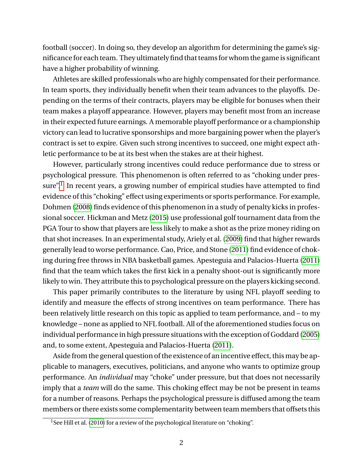football (soccer). In doing so, they develop an algorithm for determining the game's significance for each team. They ultimately find that teams for whom the game is significant have a higher probability of winning.

Athletes are skilled professionals who are highly compensated for their performance. In team sports, they individually benefit when their team advances to the playoffs. Depending on the terms of their contracts, players may be eligible for bonuses when their team makes a playoff appearance. However, players may benefit most from an increase in their expected future earnings. A memorable playoff performance or a championship victory can lead to lucrative sponsorships and more bargaining power when the player's contract is set to expire. Given such strong incentives to succeed, one might expect athletic performance to be at its best when the stakes are at their highest.

However, particularly strong incentives could reduce performance due to stress or psychological pressure. This phenomenon is often referred to as "choking under pres-sure".<sup>[1](#page-0-0)</sup> In recent years, a growing number of empirical studies have attempted to find evidence of this "choking" effect using experiments or sports performance. For example, Dohmen [\(2008\)](#page-0-0) finds evidence of this phenomenon in a study of penalty kicks in professional soccer. Hickman and Metz [\(2015\)](#page-0-0) use professional golf tournament data from the PGA Tour to show that players are less likely to make a shot as the prize money riding on that shot increases. In an experimental study, Ariely et al. [\(2009\)](#page-0-0) find that higher rewards generally lead to worse performance. Cao, Price, and Stone [\(2011\)](#page-0-0) find evidence of choking during free throws in NBA basketball games. Apesteguia and Palacios-Huerta [\(2011\)](#page-0-0) find that the team which takes the first kick in a penalty shoot-out is significantly more likely to win. They attribute this to psychological pressure on the players kicking second.

This paper primarily contributes to the literature by using NFL playoff seeding to identify and measure the effects of strong incentives on team performance. There has been relatively little research on this topic as applied to team performance, and – to my knowledge – none as applied to NFL football. All of the aforementioned studies focus on individual performance in high pressure situations with the exception of Goddard [\(2005\)](#page-0-0) and, to some extent, Apesteguia and Palacios-Huerta [\(2011\)](#page-0-0).

Aside from the general question of the existence of an incentive effect, this may be applicable to managers, executives, politicians, and anyone who wants to optimize group performance. An *individual* may "choke" under pressure, but that does not necessarily imply that a *team* will do the same. This choking effect may be not be present in teams for a number of reasons. Perhaps the psychological pressure is diffused among the team members or there exists some complementarity between team members that offsets this

<sup>&</sup>lt;sup>1</sup>See Hill et al. [\(2010\)](#page-0-0) for a review of the psychological literature on "choking".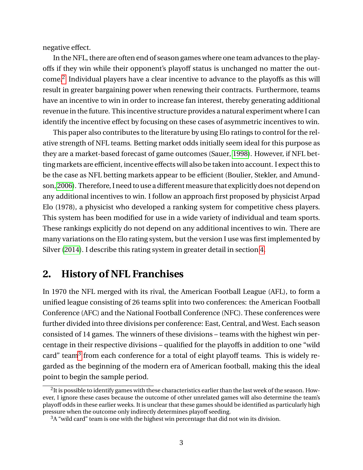negative effect.

In the NFL, there are often end of season games where one team advances to the playoffs if they win while their opponent's playoff status is unchanged no matter the outcome. $2$  Individual players have a clear incentive to advance to the playoffs as this will result in greater bargaining power when renewing their contracts. Furthermore, teams have an incentive to win in order to increase fan interest, thereby generating additional revenue in the future. This incentive structure provides a natural experiment where I can identify the incentive effect by focusing on these cases of asymmetric incentives to win.

This paper also contributes to the literature by using Elo ratings to control for the relative strength of NFL teams. Betting market odds initially seem ideal for this purpose as they are a market-based forecast of game outcomes (Sauer, [1998\)](#page-0-0). However, if NFL betting markets are efficient, incentive effects will also be taken into account. I expect this to be the case as NFL betting markets appear to be efficient (Boulier, Stekler, and Amund-son, [2006\)](#page-0-0). Therefore, I need to use a different measure that explicitly does not depend on any additional incentives to win. I follow an approach first proposed by physicist Arpad Elo (1978), a physicist who developed a ranking system for competitive chess players. This system has been modified for use in a wide variety of individual and team sports. These rankings explicitly do not depend on any additional incentives to win. There are many variations on the Elo rating system, but the version I use was first implemented by Silver [\(2014\)](#page-0-0). I describe this rating system in greater detail in section [4.](#page-7-0)

## **2. History of NFL Franchises**

In 1970 the NFL merged with its rival, the American Football League (AFL), to form a unified league consisting of 26 teams split into two conferences: the American Football Conference (AFC) and the National Football Conference (NFC). These conferences were further divided into three divisions per conference: East, Central, and West. Each season consisted of 14 games. The winners of these divisions – teams with the highest win percentage in their respective divisions – qualified for the playoffs in addition to one "wild card" team<sup>[3](#page-0-0)</sup> from each conference for a total of eight playoff teams. This is widely regarded as the beginning of the modern era of American football, making this the ideal point to begin the sample period.

 $^2$ It is possible to identify games with these characteristics earlier than the last week of the season. However, I ignore these cases because the outcome of other unrelated games will also determine the team's playoff odds in these earlier weeks. It is unclear that these games should be identified as particularly high pressure when the outcome only indirectly determines playoff seeding.

 $3A$  "wild card" team is one with the highest win percentage that did not win its division.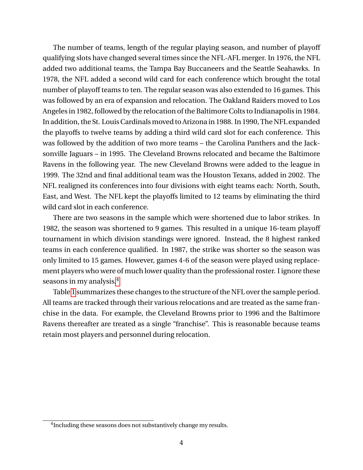The number of teams, length of the regular playing season, and number of playoff qualifying slots have changed several times since the NFL-AFL merger. In 1976, the NFL added two additional teams, the Tampa Bay Buccaneers and the Seattle Seahawks. In 1978, the NFL added a second wild card for each conference which brought the total number of playoff teams to ten. The regular season was also extended to 16 games. This was followed by an era of expansion and relocation. The Oakland Raiders moved to Los Angeles in 1982, followed by the relocation of the Baltimore Colts to Indianapolis in 1984. In addition, the St. Louis Cardinalsmoved to Arizona in 1988. In 1990, The NFL expanded the playoffs to twelve teams by adding a third wild card slot for each conference. This was followed by the addition of two more teams – the Carolina Panthers and the Jacksonville Jaguars – in 1995. The Cleveland Browns relocated and became the Baltimore Ravens in the following year. The new Cleveland Browns were added to the league in 1999. The 32nd and final additional team was the Houston Texans, added in 2002. The NFL realigned its conferences into four divisions with eight teams each: North, South, East, and West. The NFL kept the playoffs limited to 12 teams by eliminating the third wild card slot in each conference.

There are two seasons in the sample which were shortened due to labor strikes. In 1982, the season was shortened to 9 games. This resulted in a unique 16-team playoff tournament in which division standings were ignored. Instead, the 8 highest ranked teams in each conference qualified. In 1987, the strike was shorter so the season was only limited to 15 games. However, games 4-6 of the season were played using replacement players who were of much lower quality than the professional roster. I ignore these seasons in my analysis.<sup>[4](#page-0-0)</sup>

Table [1](#page-4-0) summarizes these changes to the structure of the NFL over the sample period. All teams are tracked through their various relocations and are treated as the same franchise in the data. For example, the Cleveland Browns prior to 1996 and the Baltimore Ravens thereafter are treated as a single "franchise". This is reasonable because teams retain most players and personnel during relocation.

<sup>&</sup>lt;sup>4</sup> Including these seasons does not substantively change my results.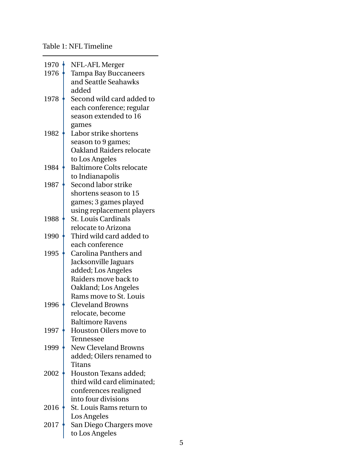#### <span id="page-4-0"></span>Table 1: NFL Timeline

| 1970 | NFL-AFL Merger                  |
|------|---------------------------------|
| 1976 | <b>Tampa Bay Buccaneers</b>     |
|      | and Seattle Seahawks            |
|      | added                           |
| 1978 | Second wild card added to       |
|      | each conference; regular        |
|      | season extended to 16           |
|      | games                           |
| 1982 | Labor strike shortens           |
|      | season to 9 games;              |
|      | Oakland Raiders relocate        |
|      | to Los Angeles                  |
| 1984 | <b>Baltimore Colts relocate</b> |
|      | to Indianapolis                 |
| 1987 | Second labor strike             |
|      | shortens season to 15           |
|      | games; 3 games played           |
|      | using replacement players       |
| 1988 | <b>St. Louis Cardinals</b>      |
|      | relocate to Arizona             |
| 1990 | Third wild card added to        |
|      | each conference                 |
| 1995 | Carolina Panthers and           |
|      | Jacksonville Jaguars            |
|      | added; Los Angeles              |
|      | Raiders move back to            |
|      | Oakland; Los Angeles            |
|      | Rams move to St. Louis          |
| 1996 | <b>Cleveland Browns</b>         |
|      | relocate, become                |
|      | <b>Baltimore Ravens</b>         |
| 1997 | <b>Houston Oilers move to</b>   |
|      | Tennessee                       |
| 1999 | <b>New Cleveland Browns</b>     |
|      | added; Oilers renamed to        |
|      | Titans                          |
| 2002 | Houston Texans added;           |
|      | third wild card eliminated;     |
|      | conferences realigned           |
|      | into four divisions             |
| 2016 | St. Louis Rams return to        |
|      | Los Angeles                     |
| 2017 | San Diego Chargers move         |
|      | to Los Angeles                  |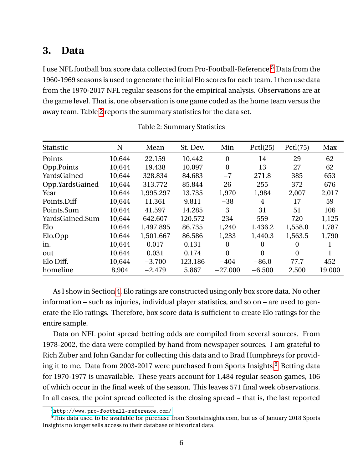## <span id="page-5-1"></span>**3. Data**

I use NFL football box score data collected from Pro-Football-Reference.[5](#page-0-0) Data from the 1960-1969 seasons is used to generate the initial Elo scores for each team. I then use data from the 1970-2017 NFL regular seasons for the empirical analysis. Observations are at the game level. That is, one observation is one game coded as the home team versus the away team. Table [2](#page-5-0) reports the summary statistics for the data set.

<span id="page-5-0"></span>

| Statistic       | N      | Mean      | St. Dev. | Min              | Pctl(25) | Pctl(75) | Max    |
|-----------------|--------|-----------|----------|------------------|----------|----------|--------|
| Points          | 10,644 | 22.159    | 10.442   | $\boldsymbol{0}$ | 14       | 29       | 62     |
| Opp.Points      | 10,644 | 19.438    | 10.097   | $\boldsymbol{0}$ | 13       | 27       | 62     |
| YardsGained     | 10,644 | 328.834   | 84.683   | $-7$             | 271.8    | 385      | 653    |
| Opp.YardsGained | 10,644 | 313.772   | 85.844   | 26               | 255      | 372      | 676    |
| Year            | 10,644 | 1,995.297 | 13.735   | 1,970            | 1,984    | 2,007    | 2,017  |
| Points.Diff     | 10,644 | 11.361    | 9.811    | $-38$            | 4        | 17       | 59     |
| Points.Sum      | 10,644 | 41.597    | 14.285   | 3                | 31       | 51       | 106    |
| YardsGained.Sum | 10,644 | 642.607   | 120.572  | 234              | 559      | 720      | 1,125  |
| Elo             | 10,644 | 1,497.895 | 86.735   | 1,240            | 1,436.2  | 1,558.0  | 1,787  |
| Elo.Opp         | 10,644 | 1,501.667 | 86.586   | 1,233            | 1,440.3  | 1,563.5  | 1,790  |
| in.             | 10,644 | 0.017     | 0.131    | $\theta$         | 0        | 0        |        |
| out             | 10,644 | 0.031     | 0.174    | $\theta$         | $\Omega$ | $\theta$ |        |
| Elo Diff.       | 10,644 | $-3.700$  | 123.186  | $-404$           | $-86.0$  | 77.7     | 452    |
| homeline        | 8,904  | $-2.479$  | 5.867    | $-27.000$        | $-6.500$ | 2.500    | 19.000 |

| <b>Table 2: Summary Statistics</b> |  |
|------------------------------------|--|
|------------------------------------|--|

As I show in Section [4,](#page-7-0) Elo ratings are constructed using only box score data. No other information – such as injuries, individual player statistics, and so on – are used to generate the Elo ratings. Therefore, box score data is sufficient to create Elo ratings for the entire sample.

Data on NFL point spread betting odds are compiled from several sources. From 1978-2002, the data were compiled by hand from newspaper sources. I am grateful to Rich Zuber and John Gandar for collecting this data and to Brad Humphreys for provid-ing it to me. Data from 2003-2017 were purchased from Sports Insights.<sup>[6](#page-0-0)</sup> Betting data for 1970-1977 is unavailable. These years account for 1,484 regular season games, 106 of which occur in the final week of the season. This leaves 571 final week observations. In all cases, the point spread collected is the closing spread – that is, the last reported

<sup>5</sup><http://www.pro-football-reference.com/>

<sup>&</sup>lt;sup>6</sup>This data used to be available for purchase from SportsInsights.com, but as of January 2018 Sports Insights no longer sells access to their database of historical data.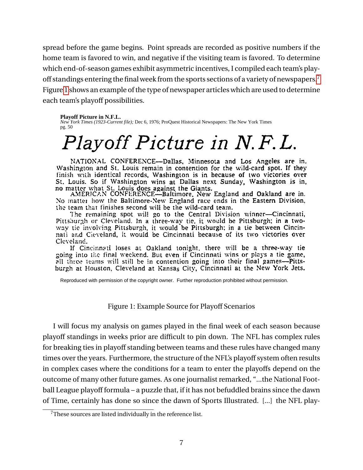spread before the game begins. Point spreads are recorded as positive numbers if the home team is favored to win, and negative if the visiting team is favored. To determine which end-of-season games exhibit asymmetric incentives, I compiled each team's playoff standings entering the final week from the sports sections of a variety of newspapers.[7](#page-0-0) Figure [1](#page-6-0) shows an example of the type of newspaper articles which are used to determine each team's playoff possibilities.

#### <span id="page-6-0"></span>**Playoff Picture in N.F.L.**

*New York Times (1923-Current file);* Dec 6, 1976; ProQuest Historical Newspapers: The New York Times pg. 50

# Playoff Picture in N.F.L.

NATIONAL CONFERENCE--Dallas, Minnesota and Los Angeles are in. Washington and St. Louis remain in contention for the wild-card spot. If they finish with identical records, Washington is in because of two victories over St. Louis. So if Washington wins at Dallas next Sunday, Washington is in,

of the washington wins at Danas next Sunday, Washington 18 in,<br>no matter what St. Louis does against the Giants.<br>AMERICAN CONFERENCE—Baltimore, New England and Oakland are in.<br>No matter how the Baltimore-New England race e the team that finishes second will be the wild-card team.

The remaining spot will go to the Central Division winner-Cincinnati, Pittsburgh or Cleveland. In a three-way tie, it would be Pittsburgh; in a twoway tie involving Pittsburgh, it would be Pittsburgh; in a tie between Cincinnati and Cieveland, it would be Cincinnati because of its two victories over Cleveland.

If Cincinnati loses at Oakland tonight, there will be a three-way tie going into the final weekend. But even if Cincinnati wins or plays a tie game, all three teams will still be in contention going into their final games—Pittsburgh at Houston, Cleveland at Kansas City, Cincinnati at the New York Jets.

Reproduced with permission of the copyright owner. Further reproduction prohibited without permission.

#### Figure 1: Example Source for Playoff Scenarios

I will focus my analysis on games played in the final week of each season because playoff standings in weeks prior are difficult to pin down. The NFL has complex rules for breaking ties in playoff standing between teams and these rules have changed many times over the years. Furthermore, the structure of the NFL's playoff system often results in complex cases where the conditions for a team to enter the playoffs depend on the outcome of many other future games. As one journalist remarked, "...the National Football League playoff formula – a puzzle that, if it has not befuddled brains since the dawn of Time, certainly has done so since the dawn of Sports Illustrated. [...] the NFL play-

<sup>&</sup>lt;sup>7</sup>These sources are listed individually in the reference list.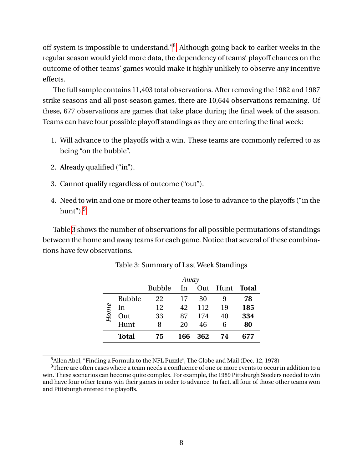off system is impossible to understand."[8](#page-0-0) Although going back to earlier weeks in the regular season would yield more data, the dependency of teams' playoff chances on the outcome of other teams' games would make it highly unlikely to observe any incentive effects.

The full sample contains 11,403 total observations. After removing the 1982 and 1987 strike seasons and all post-season games, there are 10,644 observations remaining. Of these, 677 observations are games that take place during the final week of the season. Teams can have four possible playoff standings as they are entering the final week:

- 1. Will advance to the playoffs with a win. These teams are commonly referred to as being "on the bubble".
- 2. Already qualified ("in").
- 3. Cannot qualify regardless of outcome ("out").
- 4. Need to win and one or more other teams to lose to advance to the playoffs ("in the hunt" $)^{9}$  $)^{9}$  $)^{9}$ .

<span id="page-7-1"></span>Table [3](#page-7-1) shows the number of observations for all possible permutations of standings between the home and away teams for each game. Notice that several of these combinations have few observations.

|      |               |               | Away |     |      |       |
|------|---------------|---------------|------|-----|------|-------|
|      |               | <b>Bubble</b> | In   | Out | Hunt | Total |
|      | <b>Bubble</b> | 22            | 17   | 30  | 9    | 78    |
| Home | In            | 12            | 42   | 112 | 19   | 185   |
|      | Out           | 33            | 87   | 174 | 40   | 334   |
|      | Hunt          | 8             | 20   | 46  | 6    | 80    |
|      | <b>Total</b>  | 75            | 166  | 362 | 74   | 677   |

Table 3: Summary of Last Week Standings

<span id="page-7-0"></span><sup>8</sup>Allen Abel, "Finding a Formula to the NFL Puzzle", The Globe and Mail (Dec. 12, 1978)

<sup>9</sup>There are often cases where a team needs a confluence of one or more events to occur in addition to a win. These scenarios can become quite complex. For example, the 1989 Pittsburgh Steelers needed to win and have four other teams win their games in order to advance. In fact, all four of those other teams won and Pittsburgh entered the playoffs.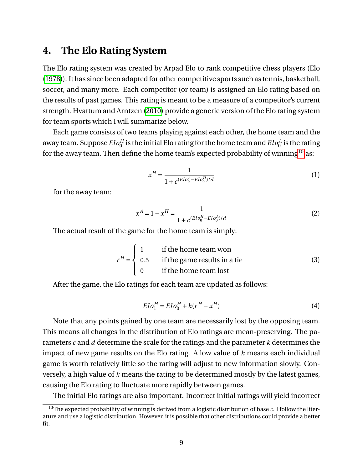## **4. The Elo Rating System**

The Elo rating system was created by Arpad Elo to rank competitive chess players (Elo [\(1978\)](#page-0-0)). It has since been adapted for other competitive sports such as tennis, basketball, soccer, and many more. Each competitor (or team) is assigned an Elo rating based on the results of past games. This rating is meant to be a measure of a competitor's current strength. Hvattum and Arntzen [\(2010\)](#page-0-0) provide a generic version of the Elo rating system for team sports which I will summarize below.

Each game consists of two teams playing against each other, the home team and the away team. Suppose  $Elo_0^H$  is the initial Elo rating for the home team and  $Elo_0^A$  is the rating for the away team. Then define the home team's expected probability of winning<sup>[10](#page-0-0)</sup> as:

$$
x^H = \frac{1}{1 + c^{(Elo_0^A - Elo_0^H)/d}}
$$
(1)

for the away team:

$$
x^{A} = 1 - x^{H} = \frac{1}{1 + c^{(Elo_{0}^{H} - Elo_{0}^{A})/d}}
$$
(2)

The actual result of the game for the home team is simply:

$$
r^{H} = \begin{cases} 1 & \text{if the home team won} \\ 0.5 & \text{if the game results in a tie} \\ 0 & \text{if the home team lost} \end{cases}
$$
 (3)

After the game, the Elo ratings for each team are updated as follows:

<span id="page-8-0"></span>
$$
Elo_1^H = Elo_0^H + k(r^H - x^H)
$$
\n<sup>(4)</sup>

Note that any points gained by one team are necessarily lost by the opposing team. This means all changes in the distribution of Elo ratings are mean-preserving. The parameters *c* and *d* determine the scale for the ratings and the parameter *k* determines the impact of new game results on the Elo rating. A low value of *k* means each individual game is worth relatively little so the rating will adjust to new information slowly. Conversely, a high value of *k* means the rating to be determined mostly by the latest games, causing the Elo rating to fluctuate more rapidly between games.

The initial Elo ratings are also important. Incorrect initial ratings will yield incorrect

<sup>10</sup>The expected probability of winning is derived from a logistic distribution of base *c*. I follow the literature and use a logistic distribution. However, it is possible that other distributions could provide a better fit.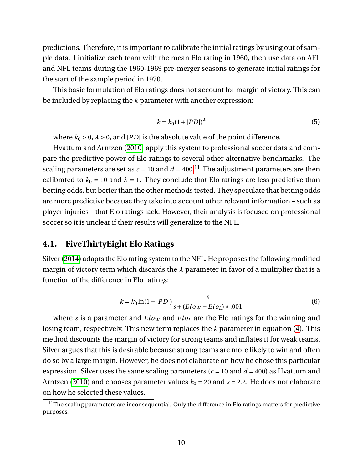predictions. Therefore, it is important to calibrate the initial ratings by using out of sample data. I initialize each team with the mean Elo rating in 1960, then use data on AFL and NFL teams during the 1960-1969 pre-merger seasons to generate initial ratings for the start of the sample period in 1970.

This basic formulation of Elo ratings does not account for margin of victory. This can be included by replacing the *k* parameter with another expression:

<span id="page-9-0"></span>
$$
k = k_0 \left(1 + |PD|\right)^{\lambda} \tag{5}
$$

where  $k_0 > 0$ ,  $\lambda > 0$ , and |*PD*| is the absolute value of the point difference.

Hvattum and Arntzen [\(2010\)](#page-0-0) apply this system to professional soccer data and compare the predictive power of Elo ratings to several other alternative benchmarks. The scaling parameters are set as  $c = 10$  and  $d = 400$ .<sup>[11](#page-0-0)</sup> The adjustment parameters are then calibrated to  $k_0 = 10$  and  $\lambda = 1$ . They conclude that Elo ratings are less predictive than betting odds, but better than the other methods tested. They speculate that betting odds are more predictive because they take into account other relevant information – such as player injuries – that Elo ratings lack. However, their analysis is focused on professional soccer so it is unclear if their results will generalize to the NFL.

### **4.1. FiveThirtyEight Elo Ratings**

Silver [\(2014\)](#page-0-0) adapts the Elo rating system to the NFL. He proposes the following modified margin of victory term which discards the *λ* parameter in favor of a multiplier that is a function of the difference in Elo ratings:

<span id="page-9-1"></span>
$$
k = k_0 \ln(1 + |PD|) \frac{s}{s + (E\log - E\log) * .001}
$$
 (6)

where *s* is a parameter and  $E\ell_{ow}$  and  $E\ell_{O_L}$  are the Elo ratings for the winning and losing team, respectively. This new term replaces the *k* parameter in equation [\(4\)](#page-8-0). This method discounts the margin of victory for strong teams and inflates it for weak teams. Silver argues that this is desirable because strong teams are more likely to win and often do so by a large margin. However, he does not elaborate on how he chose this particular expression. Silver uses the same scaling parameters ( $c = 10$  and  $d = 400$ ) as Hvattum and Arntzen [\(2010\)](#page-0-0) and chooses parameter values  $k_0 = 20$  and  $s = 2.2$ . He does not elaborate on how he selected these values.

 $11$ The scaling parameters are inconsequential. Only the difference in Elo ratings matters for predictive purposes.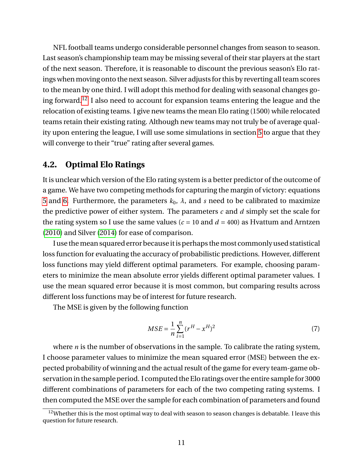NFL football teams undergo considerable personnel changes from season to season. Last season's championship team may be missing several of their star players at the start of the next season. Therefore, it is reasonable to discount the previous season's Elo ratings when moving onto the next season. Silver adjusts for this by reverting all team scores to the mean by one third. I will adopt this method for dealing with seasonal changes go-ing forward.<sup>[12](#page-0-0)</sup> I also need to account for expansion teams entering the league and the relocation of existing teams. I give new teams the mean Elo rating (1500) while relocated teams retain their existing rating. Although new teams may not truly be of average quality upon entering the league, I will use some simulations in section [5](#page-11-0) to argue that they will converge to their "true" rating after several games.

### **4.2. Optimal Elo Ratings**

It is unclear which version of the Elo rating system is a better predictor of the outcome of a game. We have two competing methods for capturing the margin of victory: equations [5](#page-9-0) and [6.](#page-9-1) Furthermore, the parameters  $k_0$ ,  $\lambda$ , and *s* need to be calibrated to maximize the predictive power of either system. The parameters *c* and *d* simply set the scale for the rating system so I use the same values ( $c = 10$  and  $d = 400$ ) as Hvattum and Arntzen [\(2010\)](#page-0-0) and Silver [\(2014\)](#page-0-0) for ease of comparison.

I use themean squared error becauseitis perhaps themost commonly used statistical loss function for evaluating the accuracy of probabilistic predictions. However, different loss functions may yield different optimal parameters. For example, choosing parameters to minimize the mean absolute error yields different optimal parameter values. I use the mean squared error because it is most common, but comparing results across different loss functions may be of interest for future research.

The MSE is given by the following function

$$
MSE = \frac{1}{n} \sum_{i=1}^{n} (r^H - x^H)^2
$$
 (7)

where *n* is the number of observations in the sample. To calibrate the rating system, I choose parameter values to minimize the mean squared error (MSE) between the expected probability of winning and the actual result of the game for every team-game observation in the sample period. I computed the Elo ratings over the entire sample for 3000 different combinations of parameters for each of the two competing rating systems. I then computed the MSE over the sample for each combination of parameters and found

<sup>&</sup>lt;sup>12</sup>Whether this is the most optimal way to deal with season to season changes is debatable. I leave this question for future research.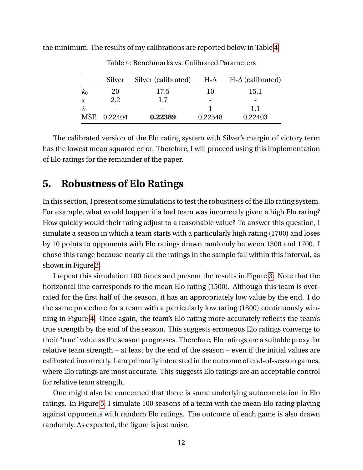<span id="page-11-1"></span>the minimum. The results of my calibrations are reported below in Table [4.](#page-11-1)

|       | Silver      | Silver (calibrated) |         | H-A H-A (calibrated) |
|-------|-------------|---------------------|---------|----------------------|
| $k_0$ | 20          | 17.5                | 10      | 15.1                 |
| -S    | 2.2.        | 17                  |         |                      |
|       |             |                     |         | 1.1                  |
|       | MSE 0.22404 | 0.22389             | 0.22548 | 0.22403              |

Table 4: Benchmarks vs. Calibrated Parameters

The calibrated version of the Elo rating system with Silver's margin of victory term has the lowest mean squared error. Therefore, I will proceed using this implementation of Elo ratings for the remainder of the paper.

## <span id="page-11-0"></span>**5. Robustness of Elo Ratings**

In this section, I present some simulations to test the robustness of the Elo rating system. For example, what would happen if a bad team was incorrectly given a high Elo rating? How quickly would their rating adjust to a reasonable value? To answer this question, I simulate a season in which a team starts with a particularly high rating (1700) and loses by 10 points to opponents with Elo ratings drawn randomly between 1300 and 1700. I chose this range because nearly all the ratings in the sample fall within this interval, as shown in Figure [2.](#page-12-0)

I repeat this simulation 100 times and present the results in Figure [3.](#page-13-0) Note that the horizontal line corresponds to the mean Elo rating (1500). Although this team is overrated for the first half of the season, it has an appropriately low value by the end. I do the same procedure for a team with a particularly low rating (1300) continuously winning in Figure [4.](#page-14-0) Once again, the team's Elo rating more accurately reflects the team's true strength by the end of the season. This suggests erroneous Elo ratings converge to their "true" value as the season progresses. Therefore, Elo ratings are a suitable proxy for relative team strength – at least by the end of the season – even if the initial values are calibrated incorrectly. I am primarily interested in the outcome of end-of-season games, where Elo ratings are most accurate. This suggests Elo ratings are an acceptable control for relative team strength.

One might also be concerned that there is some underlying autocorrelation in Elo ratings. In Figure [5,](#page-14-1) I simulate 100 seasons of a team with the mean Elo rating playing against opponents with random Elo ratings. The outcome of each game is also drawn randomly. As expected, the figure is just noise.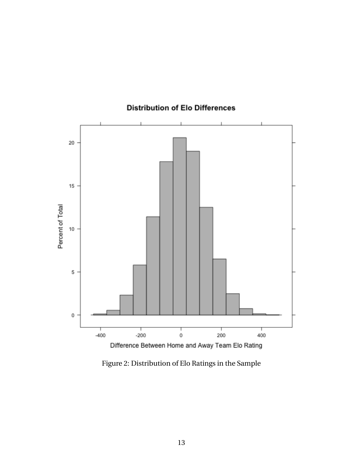<span id="page-12-0"></span>

### **Distribution of Elo Differences**

Figure 2: Distribution of Elo Ratings in the Sample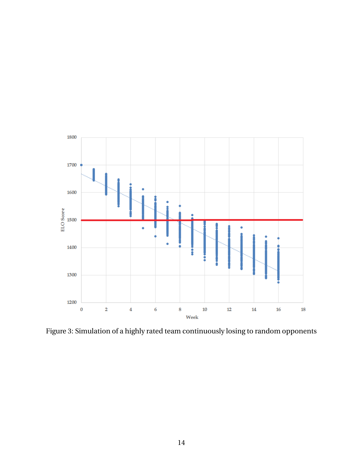<span id="page-13-0"></span>

Figure 3: Simulation of a highly rated team continuously losing to random opponents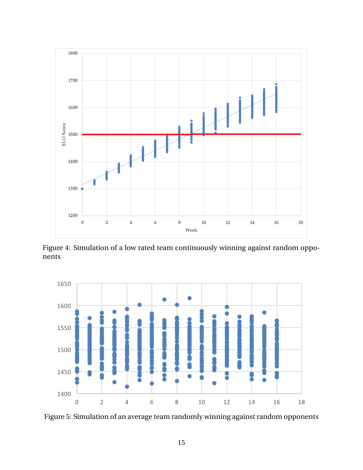<span id="page-14-0"></span>

Figure 4: Simulation of a low rated team continuously winning against random opponents

<span id="page-14-1"></span>

Figure 5: Simulation of an average team randomly winning against random opponents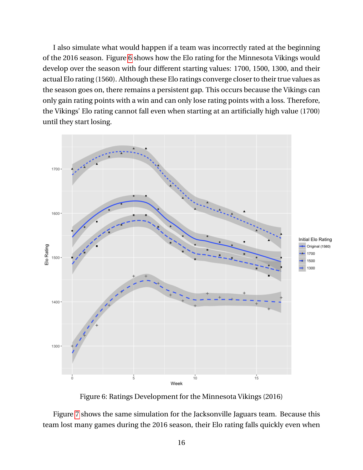I also simulate what would happen if a team was incorrectly rated at the beginning of the 2016 season. Figure [6](#page-15-0) shows how the Elo rating for the Minnesota Vikings would develop over the season with four different starting values: 1700, 1500, 1300, and their actual Elo rating (1560). Although these Elo ratings converge closer to their true values as the season goes on, there remains a persistent gap. This occurs because the Vikings can only gain rating points with a win and can only lose rating points with a loss. Therefore, the Vikings' Elo rating cannot fall even when starting at an artificially high value (1700) until they start losing.

<span id="page-15-0"></span>

Figure 6: Ratings Development for the Minnesota Vikings (2016)

Figure [7](#page-16-0) shows the same simulation for the Jacksonville Jaguars team. Because this team lost many games during the 2016 season, their Elo rating falls quickly even when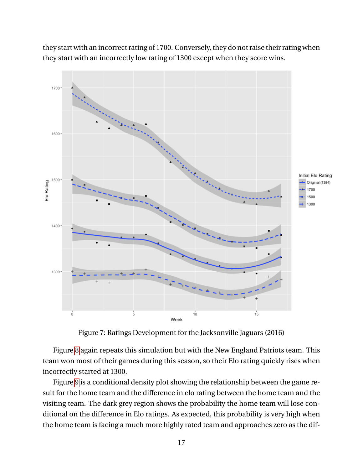they start with an incorrect rating of 1700. Conversely, they do not raise their rating when they start with an incorrectly low rating of 1300 except when they score wins.

<span id="page-16-0"></span>

Figure 7: Ratings Development for the Jacksonville Jaguars (2016)

Figure [8](#page-17-0) again repeats this simulation but with the New England Patriots team. This team won most of their games during this season, so their Elo rating quickly rises when incorrectly started at 1300.

Figure [9](#page-18-0) is a conditional density plot showing the relationship between the game result for the home team and the difference in elo rating between the home team and the visiting team. The dark grey region shows the probability the home team will lose conditional on the difference in Elo ratings. As expected, this probability is very high when the home team is facing a much more highly rated team and approaches zero as the dif-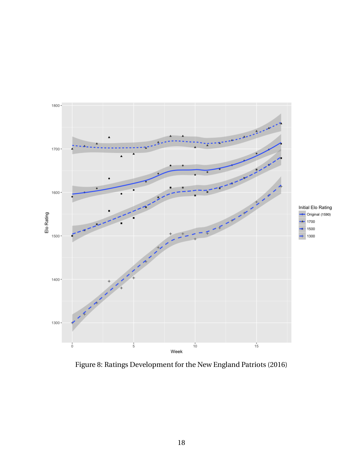<span id="page-17-0"></span>

Figure 8: Ratings Development for the New England Patriots (2016)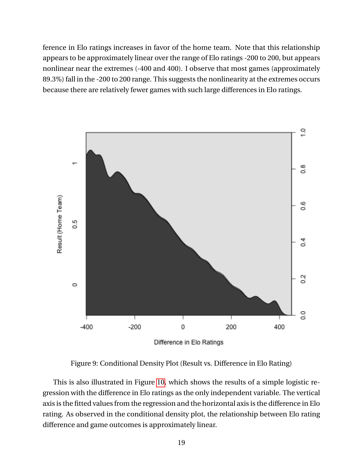ference in Elo ratings increases in favor of the home team. Note that this relationship appears to be approximately linear over the range of Elo ratings -200 to 200, but appears nonlinear near the extremes (-400 and 400). I observe that most games (approximately 89.3%) fall in the -200 to 200 range. This suggests the nonlinearity at the extremes occurs because there are relatively fewer games with such large differences in Elo ratings.

<span id="page-18-0"></span>

Figure 9: Conditional Density Plot (Result vs. Difference in Elo Rating)

This is also illustrated in Figure [10,](#page-19-0) which shows the results of a simple logistic regression with the difference in Elo ratings as the only independent variable. The vertical axis is the fitted values from the regression and the horizontal axis is the difference in Elo rating. As observed in the conditional density plot, the relationship between Elo rating difference and game outcomes is approximately linear.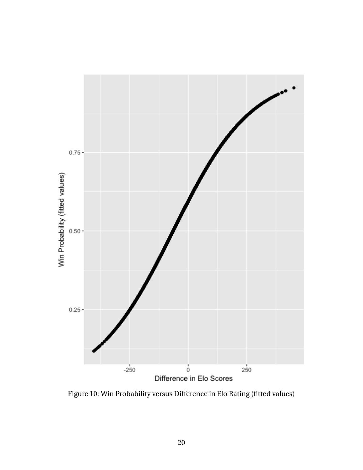<span id="page-19-0"></span>

Figure 10: Win Probability versus Difference in Elo Rating (fitted values)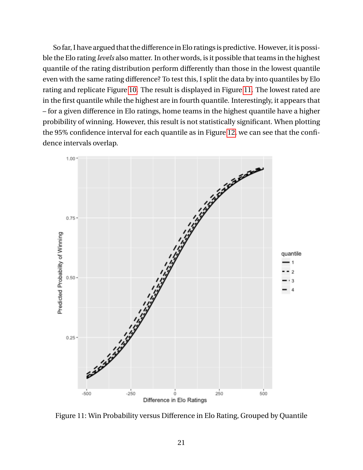So far, I have argued that the difference in Elo ratings is predictive. However, it is possible the Elo rating *levels* also matter. In other words, is it possible that teams in the highest quantile of the rating distribution perform differently than those in the lowest quantile even with the same rating difference? To test this, I split the data by into quantiles by Elo rating and replicate Figure [10.](#page-19-0) The result is displayed in Figure [11.](#page-20-0) The lowest rated are in the first quantile while the highest are in fourth quantile. Interestingly, it appears that – for a given difference in Elo ratings, home teams in the highest quantile have a higher probibility of winning. However, this result is not statistically significant. When plotting the 95% confidence interval for each quantile as in Figure [12,](#page-21-0) we can see that the confidence intervals overlap.

<span id="page-20-0"></span>

Figure 11: Win Probability versus Difference in Elo Rating, Grouped by Quantile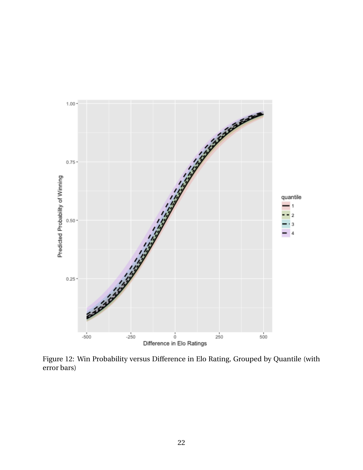<span id="page-21-0"></span>

Figure 12: Win Probability versus Difference in Elo Rating, Grouped by Quantile (with error bars)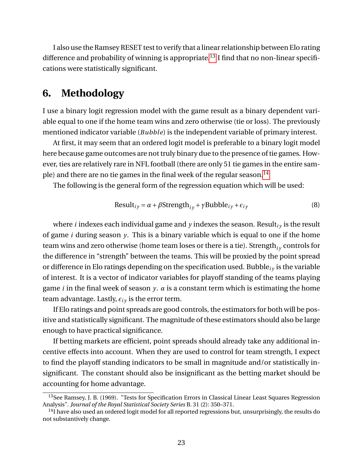I also use the Ramsey RESET test to verify that a linear relationship between Elo rating difference and probability of winning is appropriate.<sup>[13](#page-0-0)</sup> I find that no non-linear specifications were statistically significant.

## **6. Methodology**

I use a binary logit regression model with the game result as a binary dependent variable equal to one if the home team wins and zero otherwise (tie or loss). The previously mentioned indicator variable (*Bubble*) is the independent variable of primary interest.

At first, it may seem that an ordered logit model is preferable to a binary logit model here because game outcomes are not truly binary due to the presence of tie games. However, ties are relatively rare in NFL football (there are only 51 tie games in the entire sam-ple) and there are no tie games in the final week of the regular season.<sup>[14](#page-0-0)</sup>

The following is the general form of the regression equation which will be used:

$$
Result_{iy} = \alpha + \beta \text{Strength}_{iy} + \gamma \text{Bubble}_{iy} + \epsilon_{iy}
$$
\n(8)

where *i* indexes each individual game and  $y$  indexes the season. Result<sub>iv</sub> is the result of game *i* during season *y*. This is a binary variable which is equal to one if the home team wins and zero otherwise (home team loses or there is a tie). Strength<sub>iv</sub> controls for the difference in "strength" between the teams. This will be proxied by the point spread or difference in Elo ratings depending on the specification used. Bubble*i y* is the variable of interest. It is a vector of indicator variables for playoff standing of the teams playing game *i* in the final week of season *y*. *α* is a constant term which is estimating the home team advantage. Lastly,  $\epsilon_{i\gamma}$  is the error term.

If Elo ratings and point spreads are good controls, the estimators for both will be positive and statistically significant. The magnitude of these estimators should also be large enough to have practical significance.

If betting markets are efficient, point spreads should already take any additional incentive effects into account. When they are used to control for team strength, I expect to find the playoff standing indicators to be small in magnitude and/or statistically insignificant. The constant should also be insignificant as the betting market should be accounting for home advantage.

<sup>13</sup>See Ramsey, J. B. (1969). "Tests for Specification Errors in Classical Linear Least Squares Regression Analysis". *Journal of the Royal Statistical Society Series* B. 31 (2): 350–371.

 $<sup>14</sup>$ I have also used an ordered logit model for all reported regressions but, unsurprisingly, the results do</sup> not substantively change.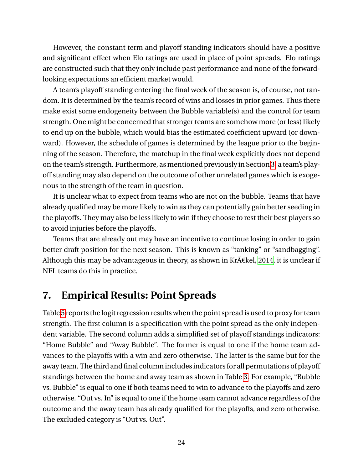However, the constant term and playoff standing indicators should have a positive and significant effect when Elo ratings are used in place of point spreads. Elo ratings are constructed such that they only include past performance and none of the forwardlooking expectations an efficient market would.

A team's playoff standing entering the final week of the season is, of course, not random. It is determined by the team's record of wins and losses in prior games. Thus there make exist some endogeneity between the Bubble variable(s) and the control for team strength. One might be concerned that stronger teams are somehow more (or less) likely to end up on the bubble, which would bias the estimated coefficient upward (or downward). However, the schedule of games is determined by the league prior to the beginning of the season. Therefore, the matchup in the final week explicitly does not depend on the team's strength. Furthermore, as mentioned previously in Section [3,](#page-5-1) a team's playoff standing may also depend on the outcome of other unrelated games which is exogenous to the strength of the team in question.

It is unclear what to expect from teams who are not on the bubble. Teams that have already qualified may be more likely to win as they can potentially gain better seeding in the playoffs. They may also be less likely to win if they choose to rest their best players so to avoid injuries before the playoffs.

Teams that are already out may have an incentive to continue losing in order to gain better draft position for the next season. This is known as "tanking" or "sandbagging". Although this may be advantageous in theory, as shown in Kr $\tilde{A}$  Ekel, [2014,](#page-0-0) it is unclear if NFL teams do this in practice.

## **7. Empirical Results: Point Spreads**

Table [5](#page-24-0) reports the logit regression results when the point spread is used to proxy for team strength. The first column is a specification with the point spread as the only independent variable. The second column adds a simplified set of playoff standings indicators: "Home Bubble" and "Away Bubble". The former is equal to one if the home team advances to the playoffs with a win and zero otherwise. The latter is the same but for the away team. The third and final column includes indicators for all permutations of playoff standings between the home and away team as shown in Table [3.](#page-7-1) For example, "Bubble vs. Bubble" is equal to one if both teams need to win to advance to the playoffs and zero otherwise. "Out vs. In" is equal to one if the home team cannot advance regardless of the outcome and the away team has already qualified for the playoffs, and zero otherwise. The excluded category is "Out vs. Out".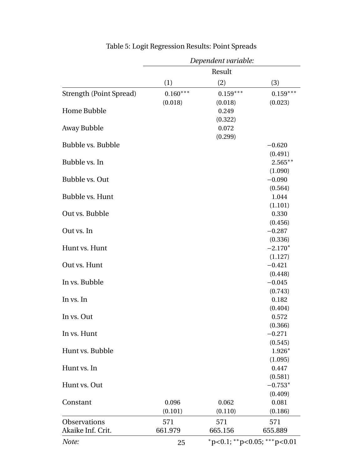<span id="page-24-0"></span>

|                                | Dependent variable: |            |                                   |  |
|--------------------------------|---------------------|------------|-----------------------------------|--|
|                                |                     | Result     |                                   |  |
|                                | (1)                 | (2)        | (3)                               |  |
| <b>Strength (Point Spread)</b> | $0.160***$          | $0.159***$ | $0.159***$                        |  |
|                                | (0.018)             | (0.018)    | (0.023)                           |  |
| <b>Home Bubble</b>             |                     | 0.249      |                                   |  |
|                                |                     | (0.322)    |                                   |  |
| Away Bubble                    |                     | 0.072      |                                   |  |
|                                |                     | (0.299)    |                                   |  |
| <b>Bubble vs. Bubble</b>       |                     |            | $-0.620$                          |  |
|                                |                     |            | (0.491)                           |  |
| Bubble vs. In                  |                     |            | $2.565***$                        |  |
|                                |                     |            | (1.090)                           |  |
| Bubble vs. Out                 |                     |            | $-0.090$                          |  |
|                                |                     |            | (0.564)                           |  |
| Bubble vs. Hunt                |                     |            | 1.044                             |  |
|                                |                     |            | (1.101)                           |  |
| Out vs. Bubble                 |                     |            | 0.330                             |  |
| Out vs. In                     |                     |            | (0.456)<br>$-0.287$               |  |
|                                |                     |            | (0.336)                           |  |
| Hunt vs. Hunt                  |                     |            | $-2.170*$                         |  |
|                                |                     |            | (1.127)                           |  |
| Out vs. Hunt                   |                     |            | $-0.421$                          |  |
|                                |                     |            | (0.448)                           |  |
| In vs. Bubble                  |                     |            | $-0.045$                          |  |
|                                |                     |            | (0.743)                           |  |
| In vs. In                      |                     |            | 0.182                             |  |
|                                |                     |            | (0.404)                           |  |
| In vs. Out                     |                     |            | 0.572                             |  |
|                                |                     |            | (0.366)                           |  |
| In vs. Hunt                    |                     |            | $-0.271$                          |  |
|                                |                     |            | (0.545)                           |  |
| Hunt vs. Bubble                |                     |            | $1.926*$                          |  |
|                                |                     |            | (1.095)                           |  |
| Hunt vs. In                    |                     |            | 0.447                             |  |
|                                |                     |            | (0.581)                           |  |
| Hunt vs. Out                   |                     |            | $-0.753*$                         |  |
|                                |                     |            | (0.409)                           |  |
| Constant                       | 0.096               | 0.062      | 0.081                             |  |
|                                | (0.101)             | (0.110)    | (0.186)                           |  |
| Observations                   | 571                 | 571        | 571                               |  |
| Akaike Inf. Crit.              | 661.979             | 665.156    | 655.889                           |  |
| Note:                          | 25                  |            | $*p<0.1$ ; $*p<0.05$ ; $**p<0.01$ |  |

## Table 5: Logit Regression Results: Point Spreads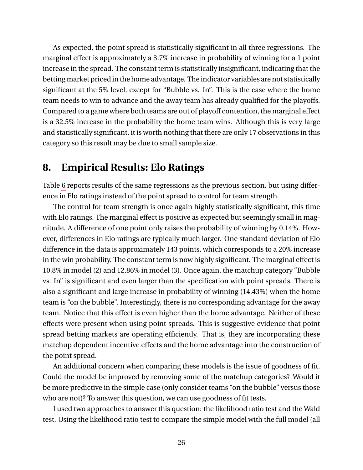As expected, the point spread is statistically significant in all three regressions. The marginal effect is approximately a 3.7% increase in probability of winning for a 1 point increase in the spread. The constant term is statistically insignificant, indicating that the betting market priced in the home advantage. The indicator variables are not statistically significant at the 5% level, except for "Bubble vs. In". This is the case where the home team needs to win to advance and the away team has already qualified for the playoffs. Compared to a game where both teams are out of playoff contention, the marginal effect is a 32.5% increase in the probability the home team wins. Although this is very large and statistically significant, it is worth nothing that there are only 17 observations in this category so this result may be due to small sample size.

## **8. Empirical Results: Elo Ratings**

Table [6](#page-26-0) reports results of the same regressions as the previous section, but using difference in Elo ratings instead of the point spread to control for team strength.

The control for team strength is once again highly statistically significant, this time with Elo ratings. The marginal effect is positive as expected but seemingly small in magnitude. A difference of one point only raises the probability of winning by 0.14%. However, differences in Elo ratings are typically much larger. One standard deviation of Elo difference in the data is approximately 143 points, which corresponds to a 20% increase in the win probability. The constant term is now highly significant. The marginal effect is 10.8% in model (2) and 12.86% in model (3). Once again, the matchup category "Bubble vs. In" is significant and even larger than the specification with point spreads. There is also a significant and large increase in probability of winning (14.43%) when the home team is "on the bubble". Interestingly, there is no corresponding advantage for the away team. Notice that this effect is even higher than the home advantage. Neither of these effects were present when using point spreads. This is suggestive evidence that point spread betting markets are operating efficiently. That is, they are incorporating these matchup dependent incentive effects and the home advantage into the construction of the point spread.

An additional concern when comparing these models is the issue of goodness of fit. Could the model be improved by removing some of the matchup categories? Would it be more predictive in the simple case (only consider teams "on the bubble" versus those who are not)? To answer this question, we can use goodness of fit tests.

I used two approaches to answer this question: the likelihood ratio test and the Wald test. Using the likelihood ratio test to compare the simple model with the full model (all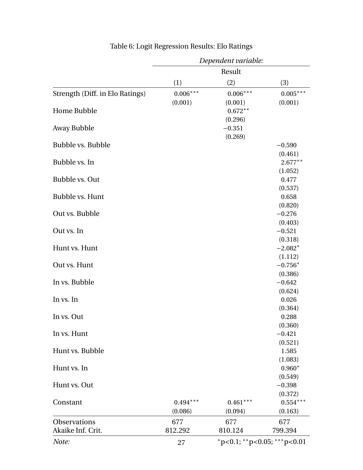<span id="page-26-0"></span>

| Result<br>(3)<br>(1)<br>(2)<br>$0.006***$<br>$0.006***$<br>$0.005***$<br>Strength (Diff. in Elo Ratings)<br>(0.001)<br>(0.001)<br>(0.001)<br>$0.672**$<br>(0.296)<br>$-0.351$<br>(0.269)<br>$-0.590$<br>(0.461)<br>Bubble vs. In<br>$2.677***$<br>(1.052)<br>Bubble vs. Out<br>0.477<br>(0.537)<br>Bubble vs. Hunt<br>0.658<br>(0.820)<br>Out vs. Bubble<br>$-0.276$<br>(0.403)<br>Out vs. In<br>$-0.521$<br>(0.318)<br>Hunt vs. Hunt<br>$-2.082*$<br>(1.112)<br>Out vs. Hunt<br>$-0.756*$ |                   | Dependent variable: |  |  |  |
|--------------------------------------------------------------------------------------------------------------------------------------------------------------------------------------------------------------------------------------------------------------------------------------------------------------------------------------------------------------------------------------------------------------------------------------------------------------------------------------------|-------------------|---------------------|--|--|--|
|                                                                                                                                                                                                                                                                                                                                                                                                                                                                                            |                   |                     |  |  |  |
|                                                                                                                                                                                                                                                                                                                                                                                                                                                                                            |                   |                     |  |  |  |
|                                                                                                                                                                                                                                                                                                                                                                                                                                                                                            |                   |                     |  |  |  |
|                                                                                                                                                                                                                                                                                                                                                                                                                                                                                            |                   |                     |  |  |  |
|                                                                                                                                                                                                                                                                                                                                                                                                                                                                                            | Home Bubble       |                     |  |  |  |
|                                                                                                                                                                                                                                                                                                                                                                                                                                                                                            |                   |                     |  |  |  |
|                                                                                                                                                                                                                                                                                                                                                                                                                                                                                            | Away Bubble       |                     |  |  |  |
|                                                                                                                                                                                                                                                                                                                                                                                                                                                                                            |                   |                     |  |  |  |
|                                                                                                                                                                                                                                                                                                                                                                                                                                                                                            | Bubble vs. Bubble |                     |  |  |  |
|                                                                                                                                                                                                                                                                                                                                                                                                                                                                                            |                   |                     |  |  |  |
|                                                                                                                                                                                                                                                                                                                                                                                                                                                                                            |                   |                     |  |  |  |
|                                                                                                                                                                                                                                                                                                                                                                                                                                                                                            |                   |                     |  |  |  |
|                                                                                                                                                                                                                                                                                                                                                                                                                                                                                            |                   |                     |  |  |  |
|                                                                                                                                                                                                                                                                                                                                                                                                                                                                                            |                   |                     |  |  |  |
|                                                                                                                                                                                                                                                                                                                                                                                                                                                                                            |                   |                     |  |  |  |
|                                                                                                                                                                                                                                                                                                                                                                                                                                                                                            |                   |                     |  |  |  |
|                                                                                                                                                                                                                                                                                                                                                                                                                                                                                            |                   |                     |  |  |  |
|                                                                                                                                                                                                                                                                                                                                                                                                                                                                                            |                   |                     |  |  |  |
|                                                                                                                                                                                                                                                                                                                                                                                                                                                                                            |                   |                     |  |  |  |
|                                                                                                                                                                                                                                                                                                                                                                                                                                                                                            |                   |                     |  |  |  |
|                                                                                                                                                                                                                                                                                                                                                                                                                                                                                            |                   |                     |  |  |  |
|                                                                                                                                                                                                                                                                                                                                                                                                                                                                                            |                   |                     |  |  |  |
|                                                                                                                                                                                                                                                                                                                                                                                                                                                                                            |                   |                     |  |  |  |
| (0.386)<br>$-0.642$                                                                                                                                                                                                                                                                                                                                                                                                                                                                        | In vs. Bubble     |                     |  |  |  |
| (0.624)                                                                                                                                                                                                                                                                                                                                                                                                                                                                                    |                   |                     |  |  |  |
| 0.026                                                                                                                                                                                                                                                                                                                                                                                                                                                                                      | In vs. In         |                     |  |  |  |
| (0.364)                                                                                                                                                                                                                                                                                                                                                                                                                                                                                    |                   |                     |  |  |  |
| 0.288                                                                                                                                                                                                                                                                                                                                                                                                                                                                                      | In vs. Out        |                     |  |  |  |
| (0.360)                                                                                                                                                                                                                                                                                                                                                                                                                                                                                    |                   |                     |  |  |  |
| $-0.421$                                                                                                                                                                                                                                                                                                                                                                                                                                                                                   | In vs. Hunt       |                     |  |  |  |
| (0.521)                                                                                                                                                                                                                                                                                                                                                                                                                                                                                    |                   |                     |  |  |  |
| 1.585                                                                                                                                                                                                                                                                                                                                                                                                                                                                                      | Hunt vs. Bubble   |                     |  |  |  |
| (1.083)                                                                                                                                                                                                                                                                                                                                                                                                                                                                                    |                   |                     |  |  |  |
| $0.960*$                                                                                                                                                                                                                                                                                                                                                                                                                                                                                   | Hunt vs. In       |                     |  |  |  |
| (0.549)                                                                                                                                                                                                                                                                                                                                                                                                                                                                                    |                   |                     |  |  |  |
| $-0.398$                                                                                                                                                                                                                                                                                                                                                                                                                                                                                   | Hunt vs. Out      |                     |  |  |  |
| (0.372)                                                                                                                                                                                                                                                                                                                                                                                                                                                                                    |                   |                     |  |  |  |
| $0.461***$<br>$0.554***$<br>$0.494***$                                                                                                                                                                                                                                                                                                                                                                                                                                                     | Constant          |                     |  |  |  |
| (0.086)<br>(0.094)<br>(0.163)                                                                                                                                                                                                                                                                                                                                                                                                                                                              |                   |                     |  |  |  |
| 677<br>677<br>677                                                                                                                                                                                                                                                                                                                                                                                                                                                                          | Observations      |                     |  |  |  |
| 812.292<br>810.124<br>799.394                                                                                                                                                                                                                                                                                                                                                                                                                                                              | Akaike Inf. Crit. |                     |  |  |  |
| $*p<0.1$ ; $*p<0.05$ ; $**p<0.01$<br>27                                                                                                                                                                                                                                                                                                                                                                                                                                                    | Note:             |                     |  |  |  |

## Table 6: Logit Regression Results: Elo Ratings